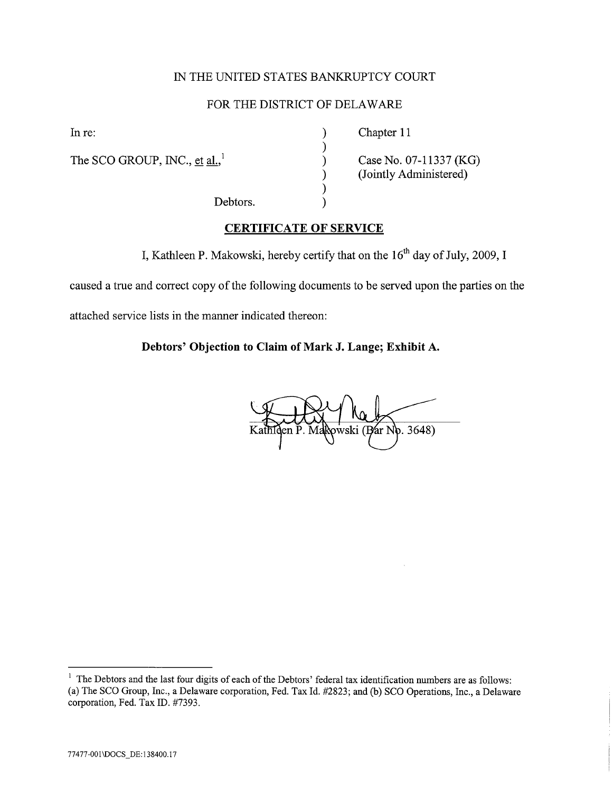# IN THE UNITED STATES BANKRUPTCY COURT

# FOR THE DISTRICT OF DELAWARE

) ) ) ) ) )

The SCO GROUP, INC., et al.,<sup>1</sup>

In re: (a) Chapter 11

Case No. 07-11337 (KG) (Jointly Administered)

Debtors.

### CERTIFICATE OF SERVICE

I, Kathleen P. Makowski, hereby certify that on the  $16<sup>th</sup>$  day of July, 2009, I

caused a true and correct copy of the following documents to be served upon the parties on the

attached service lists in the manner indicated thereon:

### Debtors' Objection to Claim of Mark J. Lange; Exhibit A.

Bar No. 3648)

<sup>&</sup>lt;sup>1</sup> The Debtors and the last four digits of each of the Debtors' federal tax identification numbers are as follows: (a) The SCO Group, Inc., a Delaware corporation, Fed. Tax Id. #2823; and (b) SCO Operations, Inc., a Delaware corporation, Fed. Tax ID. #7393.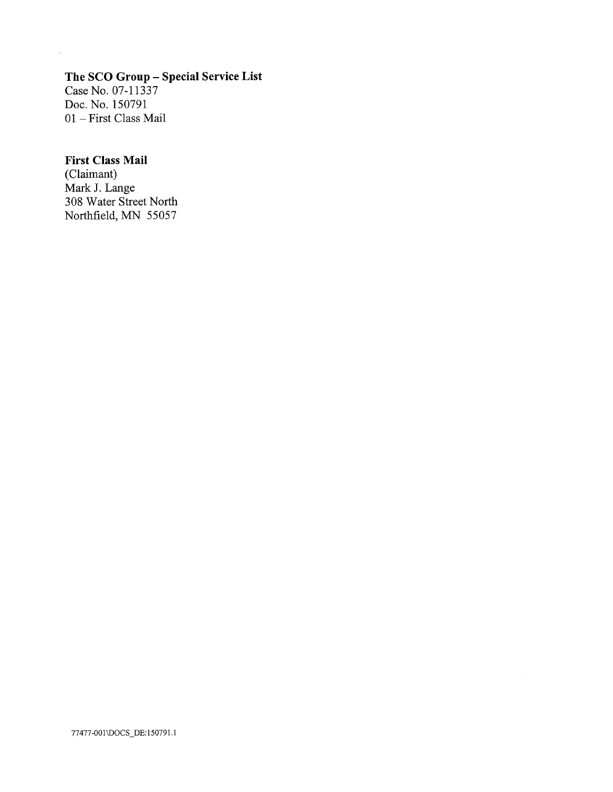# The SCO Group - Special Service List

Case No. 07-11337 Doc. No. 150791 01 - First Class Mail

 $\mathcal{A}^{\pm}$ 

# First Class Mail

(Claimant) Mark J. Lange 308 Water Street North Northfield, MN 55057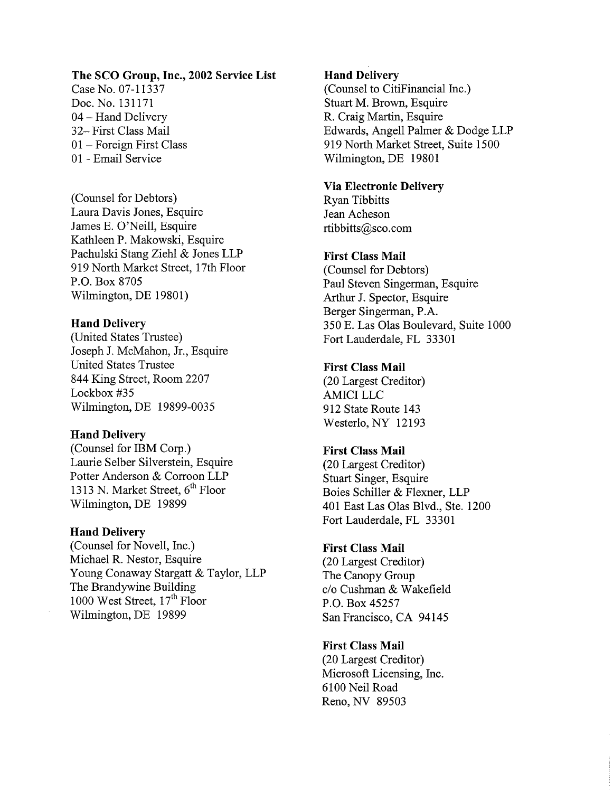#### The SCO Group, Inc., 2002 Service List

Case No. 07-11337 Doc. No. 131171 04 - Hand Delivery 32- First Class Mail 01 - Foreign First Class 01 - Email Service

(Counsel for Debtors) Laura Davis Jones, Esquire James E. O'Neil, Esquire Kathleen P. Makowski, Esquire Pachulski Stang Ziehl & Jones LLP 919 North Market Street, 17th Floor P.O. Box 8705 Wilmington, DE 19801)

#### Hand Delivery

(United States Trustee) Joseph J. McMahon, Jr., Esquire United States Trustee 844 King Street, Room 2207 Lockbox #35 Wilmington, DE 19899-0035

#### Hand Delivery

(Counsel for IBM Corp.) Laurie SeIber Silverstein, Esquire Potter Anderson & Corroon LLP 1313 N. Market Street,  $6<sup>th</sup>$  Floor Wilmington, DE 19899

#### Hand Delivery

(Counsel for Novell, Inc.) Michael R. Nestor, Esquire Young Conaway Stargatt & Taylor, LLP The Brandywine Building 1000 West Street,  $17<sup>th</sup>$  Floor Wilmington, DE 19899

### Hand Delivery

(Counsel to CitiFinancial Inc.) Stuart M. Brown, Esquire R. Craig Martin, Esquire Edwards, Angell Palmer & Dodge LLP 919 North Market Street, Suite 1500 Wilmington, DE 19801

### Via Electronic Delivery

Ryan Tibbitts Jean Acheson rtibbitts@sco.com

### First Class Mail

(Counsel for Debtors) Paul Steven Singerman, Esquire Arhur J. Spector, Esquire Berger Singerman, P.A. 350 E. Las Olas Boulevard, Suite 1000 Fort Lauderdale, FL 33301

### First Class Mail

(20 Largest Creditor) AMICI LLC 912 State Route 143 Westerlo, NY 12193

## First Class Mail

(20 Largest Creditor) Stuart Singer, Esquire Boies Schiler & Flexner, LLP 401 East Las Olas Blvd., Ste. 1200 Fort Lauderdale, FL 33301

### First Class Mail

(20 Largest Creditor) The Canopy Group c/o Cushman & Wakefield P.O. Box 45257 San Francisco, CA 94145

#### First Class Mail

(20 Largest Creditor) Microsoft Licensing, Inc. 6100 Neil Road Reno, NY 89503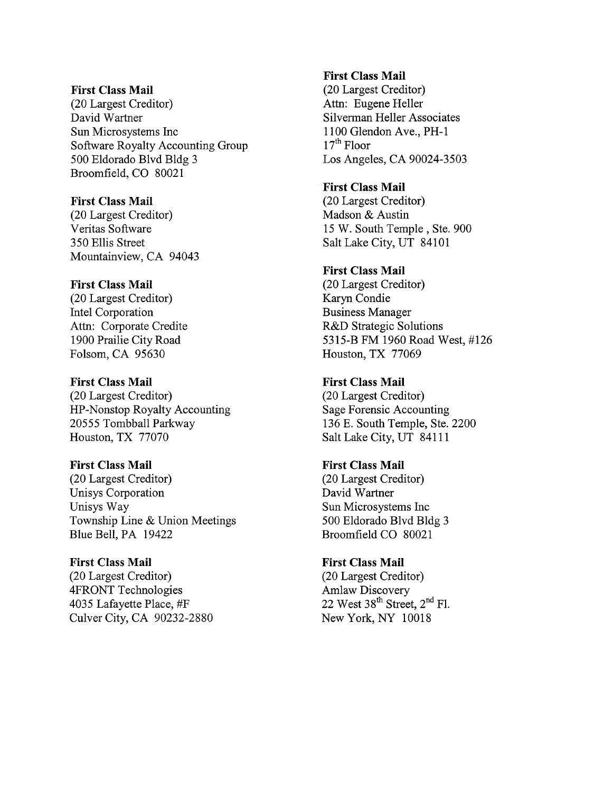#### First Class Mail

(20 Largest Creditor) David Wartner Sun Microsystems Inc Software Royalty Accounting Group 500 Eldorado Blvd Bldg 3 Broomfield, CO 80021

### First Class Mail

(20 Largest Creditor) Veritas Software 350 Ellis Street Mountainview, CA 94043

### First Class Mail

(20 Largest Creditor) Intel Corporation Attn: Corporate Credite 1900 Prailie City Road Folsom, CA 95630

#### First Class Mail

(20 Largest Creditor) HP-Nonstop Royalty Accounting 20555 Tombball Parkway Houston, TX 77070

#### First Class Mail

(20 Largest Creditor) Unisys Corporation Unisys Way Township Line & Union Meetings Blue Bell, PA 19422

# First Class Mail

(20 Largest Creditor) 4FRONT Technologies 4035 Lafayette Place, #F Culver City, CA 90232-2880

### First Class Mail

(20 Largest Creditor) Attn: Eugene Heller Silverman Heller Associates 1100 Glendon Ave., PH-l  $17<sup>th</sup>$  Floor Los Angeles, CA 90024-3503

### First Class Mail

(20 Largest Creditor) Madson & Austin 15 W. South Temple, Ste. 900 Salt Lake City, UT 84101

# First Class Mail

(20 Largest Creditor) Karyn Condie Business Manager R&D Strategic Solutions 5315-B FM 1960 Road West, #126 Houston, TX 77069

## First Class Mail

(20 Largest Creditor) Sage Forensic Accounting 136 E. South Temple, Ste. 2200 Salt Lake City, UT 84111

## First Class Mail

(20 Largest Creditor) David Wartner Sun Microsystems Inc 500 Eldorado Blvd Bldg 3 Broomfield CO 80021

### First Class Mail (20 Largest Creditor) Amlaw Discovery 22 West  $38^{th}$  Street,  $2^{nd}$  Fl.

New York, NY 10018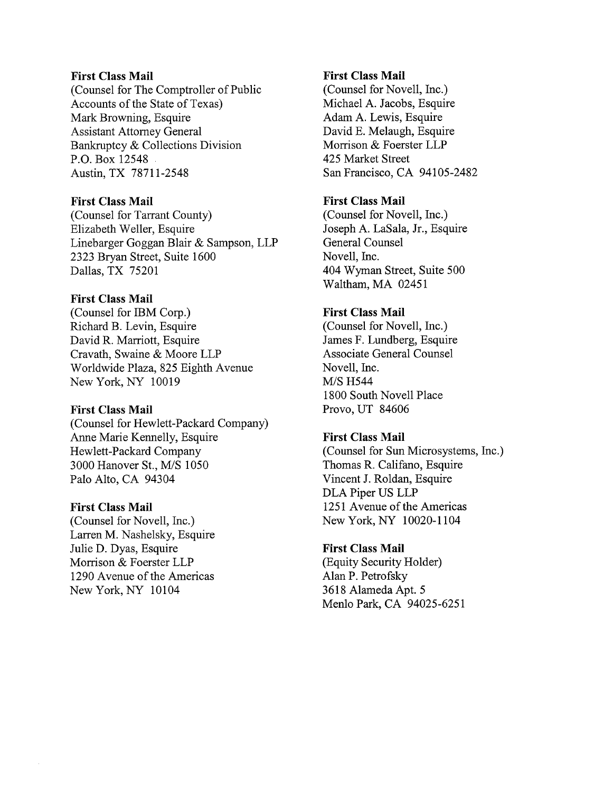#### First Class Mail

(Counsel for The Comptroller of Public Accounts of the State of Texas) Mark Browning, Esquire Assistant Attorney General Bankruptcy & Collections Division P.O. Box 12548 Austin, TX 78711-2548

### First Class Mail

(Counsel for Tarrant County) Elizabeth Weller, Esquire Linebarger Goggan Blair & Sampson, LLP 2323 Bryan Street, Suite 1600 Dallas, TX 75201

## First Class Mail

(Counsel for IBM Corp.) Richard B. Levin, Esquire David R. Marriott, Esquire Cravath, Swaine & Moore LLP Worldwide Plaza, 825 Eighth Avenue New York, NY 10019

#### First Class Mail

(Counsel for Hewlett-Packard Company) Anne Marie Kennelly, Esquire Hewlett-Packard Company 3000 Hanover St., M/S 1050 Palo Alto, CA 94304

#### First Class Mail

(Counsel for Novell, Inc.) Larren M. Nashelsky, Esquire Julie D. Dyas, Esquire Morrison & Foerster LLP 1290 Avenue of the Americas New York, NY 10104

### First Class Mail

(Counsel for Novell, Inc.) Michael A. Jacobs, Esquire Adam A. Lewis, Esquire David E. Melaugh, Esquire Morrison & Foerster LLP 425 Market Street San Francisco, CA 94105-2482

### First Class Mail

(Counsel for Novell, Inc.) Joseph A. LaSala, Jr., Esquire General Counsel Novell, Inc. 404 Wyman Street, Suite 500 Waltham, MA 02451

### First Class Mail

(Counsel for Novell, Inc.) James F. Lundberg, Esquire Associate General Counsel Novell, Inc. M/S H544 1800 South Novell Place Provo, UT 84606

### First Class Mail

(Counsel for Sun Microsystems, Inc.) Thomas R. Califano, Esquire Vincent J. Roldan, Esquire DLA Piper US LLP 1251 Avenue of the Americas New York, NY 10020-1104

#### First Class Mail

(Equity Security Holder) Alan P. Petrofsky 3618 Alameda Apt. 5 Menlo Park, CA 94025-6251